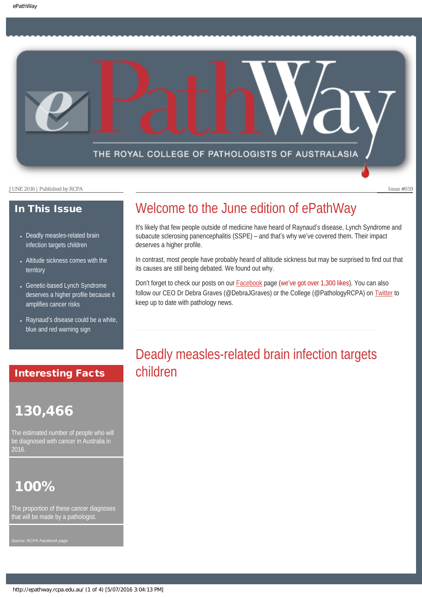## THE ROYAL COLLEGE OF PATHOLOGISTS OF AUSTRALASIA

JUNE 2016 | Published by RCPA Issue #059

## In This Issue

- Deadly measles-related brain [infection targets children](#page-0-0)
- Altitude sickness comes with the [territory](#page-1-0)
- [Genetic-based Lynch Syndrome](#page-2-0) [deserves a higher profile because it](#page-2-0) [amplifies cancer risks](#page-2-0)
- Raynaud's disease could be a white, [blue and red warning sign](#page-2-1)

## <span id="page-0-0"></span>Interesting Facts

# 130,466

The estimated number of people who will be diagnosed with cancer in Australia in 2016.

# 100%

The proportion of these cancer diagnoses that will be made by a pathologist

*Source: RCPA Facebook page*

# Welcome to the June edition of ePathWay

It's likely that few people outside of medicine have heard of Raynaud's disease, Lynch Syndrome and subacute sclerosing panencephalitis (SSPE) – and that's why we've covered them. Their impact deserves a higher profile.

In contrast, most people have probably heard of altitude sickness but may be surprised to find out that its causes are still being debated. We found out why.

Don't forget to check our posts on our [Facebook](https://www.facebook.com/TheRoyalCollegeOfPathologistsOfAustralasia/) page (we've got over 1,300 likes). You can also follow our CEO Dr Debra Graves (@DebraJGraves) or the College (@PathologyRCPA) on [Twitter](https://twitter.com/pathologyrcpa) to keep up to date with pathology news.

# Deadly measles-related brain infection targets children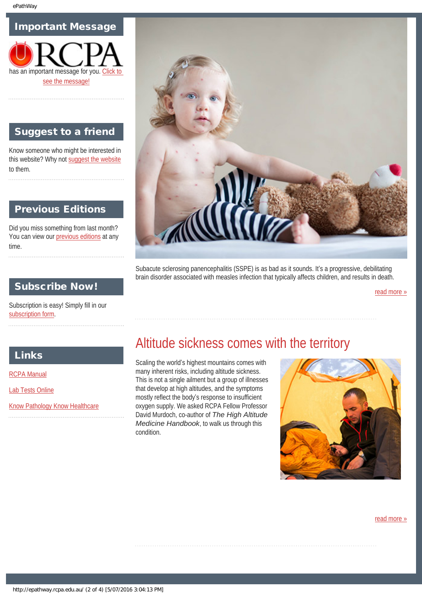## Important Message



## Suggest to a friend

Know someone who might be interested in this website? Why not [suggest the website](mailto:?Subject=I%20think%20you%20should%20read%20this%20Newsletter=
http://epathway.rcpa.edu.au/index.html) to them.

## Previous Editions

Did you miss something from last month? You can view our [previous editions](#page-5-0) at any time.



Subacute sclerosing panencephalitis (SSPE) is as bad as it sounds. It's a progressive, debilitating brain disorder associated with measles infection that typically affects children, and results in death.

[read more »](#page-8-0)

## Subscribe Now!

Subscription is easy! Simply fill in our [subscription form](#page-7-0).

## <span id="page-1-0"></span>Links

[RCPA Manual](http://rcpamanual.edu.au/)

[Lab Tests Online](http://www.labtestsonline.org.au/)

[Know Pathology Know Healthcare](http://knowpathology.com.au/)

# Altitude sickness comes with the territory

Scaling the world's highest mountains comes with many inherent risks, including altitude sickness. This is not a single ailment but a group of illnesses that develop at high altitudes, and the symptoms mostly reflect the body's response to insufficient oxygen supply. We asked RCPA Fellow Professor David Murdoch, co-author of *The High Altitude Medicine Handbook*, to walk us through this condition.



[read more »](#page-10-0)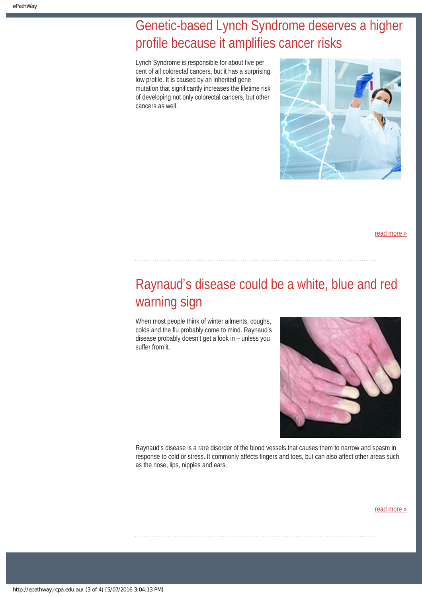# <span id="page-2-0"></span>Genetic-based Lynch Syndrome deserves a higher profile because it amplifies cancer risks

Lynch Syndrome is responsible for about five per cent of all colorectal cancers, but it has a surprising low profile. It is caused by an inherited gene mutation that significantly increases the lifetime risk of developing not only colorectal cancers, but other cancers as well.



[read more »](#page-12-0)

# <span id="page-2-1"></span>Raynaud's disease could be a white, blue and red warning sign

When most people think of winter ailments, coughs, colds and the flu probably come to mind. Raynaud's disease probably doesn't get a look in – unless you suffer from it.



Raynaud's disease is a rare disorder of the blood vessels that causes them to narrow and spasm in response to cold or stress. It commonly affects fingers and toes, but can also affect other areas such as the nose, lips, nipples and ears.

[read more »](#page-14-0)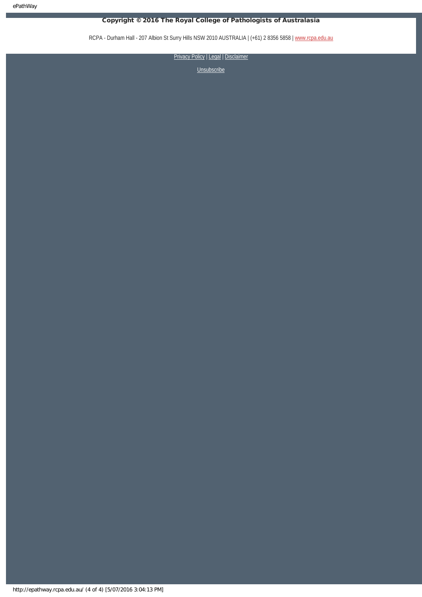ePathWay

## Copyright © 2016 The Royal College of Pathologists of Australasia

RCPA - Durham Hall - 207 Albion St Surry Hills NSW 2010 AUSTRALIA | (+61) 2 8356 5858 | [www.rcpa.edu.au](https://www.rcpa.edu.au/)

[Privacy Policy](https://www.rcpa.edu.au/Privacy-Policy.aspx) | [Legal](https://www.rcpa.edu.au/Legal.aspx) | Disclaimer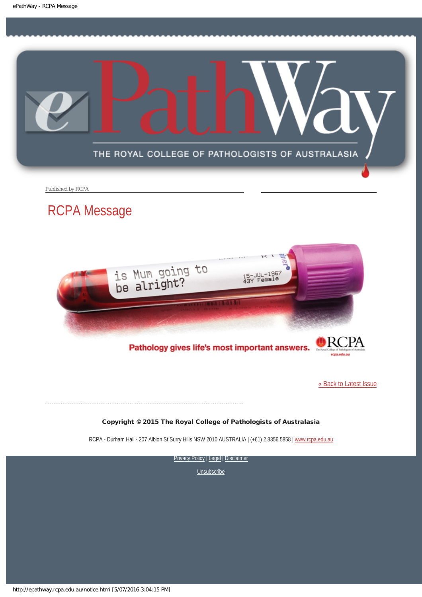<span id="page-4-0"></span>

Published by RCPA

# RCPA Message



Pathology gives life's most important answers.

[« Back to Latest Issue](http://epathway.rcpa.edu.au/index.html)

#### Copyright © 2015 The Royal College of Pathologists of Australasia

RCPA - Durham Hall - 207 Albion St Surry Hills NSW 2010 AUSTRALIA | (+61) 2 8356 5858 | [www.rcpa.edu.au](https://www.rcpa.edu.au/)

[Privacy Policy](https://www.rcpa.edu.au/Content-Library/Privacy.aspx) | [Legal](https://www.rcpa.edu.au/Legal.aspx) | Disclaimer

**[Unsubscribe](#page-7-0)** 

http://epathway.rcpa.edu.au/notice.html [5/07/2016 3:04:15 PM]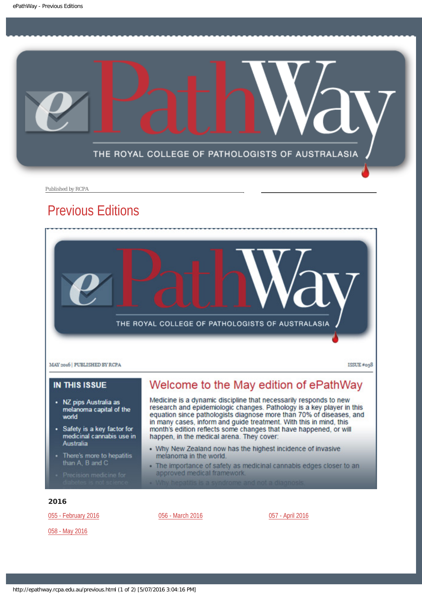<span id="page-5-0"></span>

Published by RCPA

# Previous Editions



### **IN THIS ISSUE**

- NZ pips Australia as melanoma capital of the world
- Safety is a key factor for medicinal cannabis use in Australia
- There's more to hepatitis than A, B and C
- 

## Welcome to the May edition of ePathWay

Medicine is a dynamic discipline that necessarily responds to new research and epidemiologic changes. Pathology is a key player in this equation since pathologists diagnose more than 70% of diseases, and in many cases, inform and guide treatment. With this in mind, this month's edition reflects some changes that have happened, or will happen, in the medical arena. They cover:

- Why New Zealand now has the highest incidence of invasive melanoma in the world.
- The importance of safety as medicinal cannabis edges closer to an approved medical framework.
- 

#### 2016

[055 - February 2016](http://epathway.rcpa.edu.au/previous/055_0216.pdf)

[058 - May 2016](http://epathway.rcpa.edu.au/previous/058_0516.pdf)

[056 - March 2016](http://epathway.rcpa.edu.au/previous/056_0316.pdf) **[057 - April 2016](http://epathway.rcpa.edu.au/previous/057_0416.pdf)**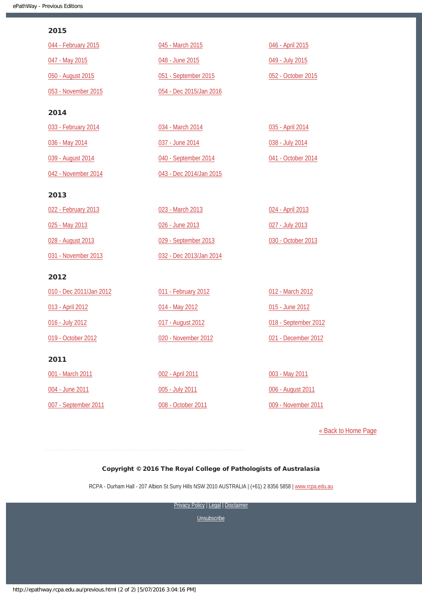#### 2015

| 044 - February 2015     | 045 - March 2015        | 046 - April 2015     |
|-------------------------|-------------------------|----------------------|
| 047 - May 2015          | 048 - June 2015         | 049 - July 2015      |
| 050 - August 2015       | 051 - September 2015    | 052 - October 2015   |
| 053 - November 2015     | 054 - Dec 2015/Jan 2016 |                      |
| 2014                    |                         |                      |
| 033 - February 2014     | 034 - March 2014        | 035 - April 2014     |
| 036 - May 2014          | 037 - June 2014         | 038 - July 2014      |
| 039 - August 2014       | 040 - September 2014    | 041 - October 2014   |
| 042 - November 2014     | 043 - Dec 2014/Jan 2015 |                      |
| 2013                    |                         |                      |
| 022 - February 2013     | 023 - March 2013        | 024 - April 2013     |
| 025 - May 2013          | 026 - June 2013         | 027 - July 2013      |
| 028 - August 2013       | 029 - September 2013    | 030 - October 2013   |
| 031 - November 2013     | 032 - Dec 2013/Jan 2014 |                      |
| 2012                    |                         |                      |
| 010 - Dec 2011/Jan 2012 | 011 - February 2012     | 012 - March 2012     |
| 013 - April 2012        | 014 - May 2012          | 015 - June 2012      |
| 016 - July 2012         | 017 - August 2012       | 018 - September 2012 |
| 019 - October 2012      | 020 - November 2012     | 021 - December 2012  |
| 2011                    |                         |                      |
| 001 - March 2011        | 002 - April 2011        | 003 - May 2011       |
| 004 - June 2011         | 005 - July 2011         | 006 - August 2011    |
| 007 - September 2011    | 008 - October 2011      | 009 - November 2011  |

[« Back to Home Page](http://epathway.rcpa.edu.au/index.html)

### Copyright © 2016 The Royal College of Pathologists of Australasia

RCPA - Durham Hall - 207 Albion St Surry Hills NSW 2010 AUSTRALIA | (+61) 2 8356 5858 | [www.rcpa.edu.au](https://www.rcpa.edu.au/)

[Privacy Policy](https://www.rcpa.edu.au/Content-Library/Privacy.aspx) | [Legal](https://www.rcpa.edu.au/Legal.aspx) | Disclaimer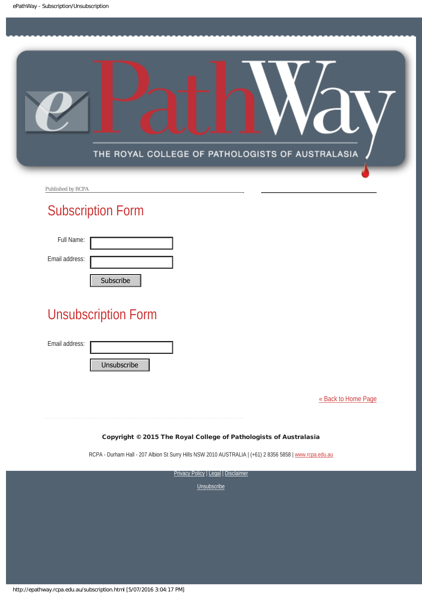<span id="page-7-0"></span>

Published by RCPA

# Subscription Form

| Full Name:     |           |
|----------------|-----------|
| Email address: |           |
|                | Cubccribo |

# Unsubscription Form Subscribe<br>
Unsubscription Form<br>
Email address:<br>
Unsubscribe<br>
Copyright © 2015 The Ro<br>
RCPA - Durham Hall - 207 Albion St Surry<br>
Prive<br>
Prive

Email address:

[« Back to Home Page](http://epathway.rcpa.edu.au/index.html)

#### Copyright © 2015 The Royal College of Pathologists of Australasia

RCPA - Durham Hall - 207 Albion St Surry Hills NSW 2010 AUSTRALIA | (+61) 2 8356 5858 | [www.rcpa.edu.au](http://www.rcpa.edu.au/)

**[Privacy Policy](http://www.rcpa.edu.au/Content-Library/Privacy.aspx) | [Legal](http://www.rcpa.edu.au/Legal.aspx) | Disclaimer**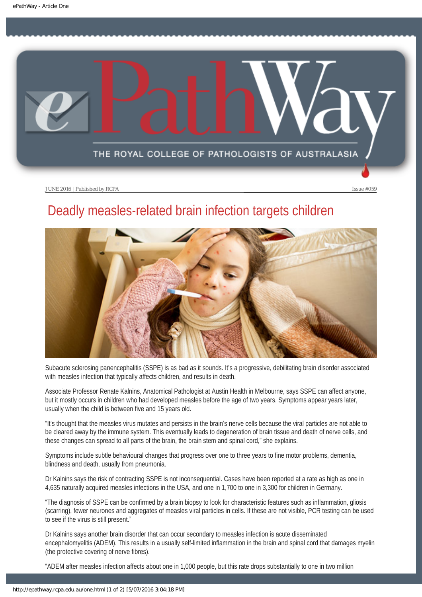<span id="page-8-0"></span>

# Deadly measles-related brain infection targets children



Subacute sclerosing panencephalitis (SSPE) is as bad as it sounds. It's a progressive, debilitating brain disorder associated with measles infection that typically affects children, and results in death.

Associate Professor Renate Kalnins, Anatomical Pathologist at Austin Health in Melbourne, says SSPE can affect anyone, but it mostly occurs in children who had developed measles before the age of two years. Symptoms appear years later, usually when the child is between five and 15 years old.

"It's thought that the measles virus mutates and persists in the brain's nerve cells because the viral particles are not able to be cleared away by the immune system. This eventually leads to degeneration of brain tissue and death of nerve cells, and these changes can spread to all parts of the brain, the brain stem and spinal cord," she explains.

Symptoms include subtle behavioural changes that progress over one to three years to fine motor problems, dementia, blindness and death, usually from pneumonia.

Dr Kalnins says the risk of contracting SSPE is not inconsequential. Cases have been reported at a rate as high as one in 4,635 naturally acquired measles infections in the USA, and one in 1,700 to one in 3,300 for children in Germany.

"The diagnosis of SSPE can be confirmed by a brain biopsy to look for characteristic features such as inflammation, gliosis (scarring), fewer neurones and aggregates of measles viral particles in cells. If these are not visible, PCR testing can be used to see if the virus is still present."

Dr Kalnins says another brain disorder that can occur secondary to measles infection is acute disseminated encephalomyelitis (ADEM). This results in a usually self-limited inflammation in the brain and spinal cord that damages myelin (the protective covering of nerve fibres).

"ADEM after measles infection affects about one in 1,000 people, but this rate drops substantially to one in two million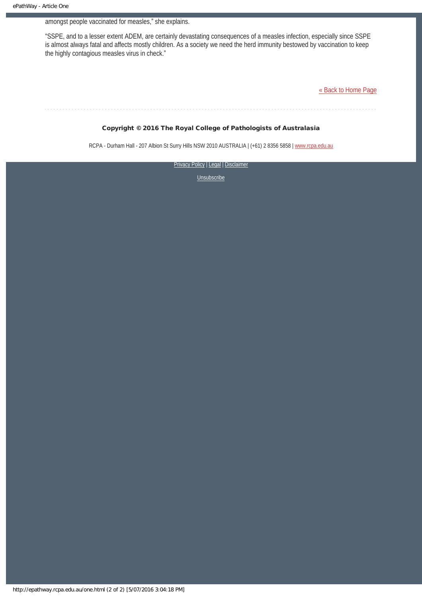#### amongst people vaccinated for measles," she explains.

"SSPE, and to a lesser extent ADEM, are certainly devastating consequences of a measles infection, especially since SSPE is almost always fatal and affects mostly children. As a society we need the herd immunity bestowed by vaccination to keep the highly contagious measles virus in check."

[« Back to Home Page](http://epathway.rcpa.edu.au/index.html)

#### Copyright © 2016 The Royal College of Pathologists of Australasia

RCPA - Durham Hall - 207 Albion St Surry Hills NSW 2010 AUSTRALIA | (+61) 2 8356 5858 | [www.rcpa.edu.au](https://www.rcpa.edu.au/)

[Privacy Policy](https://www.rcpa.edu.au/Content-Library/Privacy.aspx) | [Legal](https://www.rcpa.edu.au/Legal.aspx) | Disclaimer **[Unsubscribe](#page-7-0)** 

http://epathway.rcpa.edu.au/one.html (2 of 2) [5/07/2016 3:04:18 PM]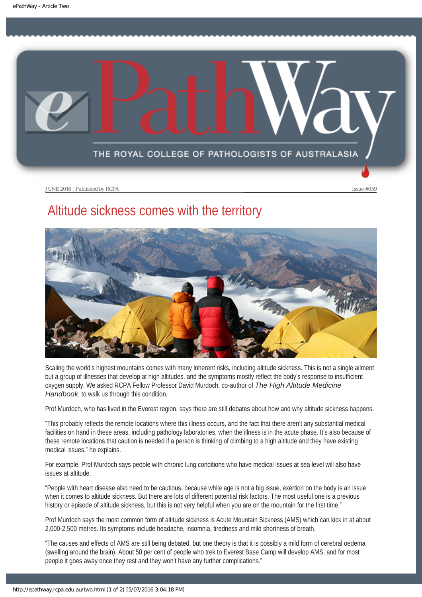<span id="page-10-0"></span>

# Altitude sickness comes with the territory



Scaling the world's highest mountains comes with many inherent risks, including altitude sickness. This is not a single ailment but a group of illnesses that develop at high altitudes, and the symptoms mostly reflect the body's response to insufficient oxygen supply. We asked RCPA Fellow Professor David Murdoch, co-author of *The High Altitude Medicine Handbook*, to walk us through this condition.

Prof Murdoch, who has lived in the Everest region, says there are still debates about how and why altitude sickness happens.

"This probably reflects the remote locations where this illness occurs, and the fact that there aren't any substantial medical facilities on hand in these areas, including pathology laboratories, when the illness is in the acute phase. It's also because of these remote locations that caution is needed if a person is thinking of climbing to a high altitude and they have existing medical issues," he explains.

For example, Prof Murdoch says people with chronic lung conditions who have medical issues at sea level will also have issues at altitude.

"People with heart disease also need to be cautious, because while age is not a big issue, exertion on the body is an issue when it comes to altitude sickness. But there are lots of different potential risk factors. The most useful one is a previous history or episode of altitude sickness, but this is not very helpful when you are on the mountain for the first time."

Prof Murdoch says the most common form of altitude sickness is Acute Mountain Sickness (AMS) which can kick in at about 2,000-2,500 metres. Its symptoms include headache, insomnia, tiredness and mild shortness of breath.

"The causes and effects of AMS are still being debated, but one theory is that it is possibly a mild form of cerebral oedema (swelling around the brain). About 50 per cent of people who trek to Everest Base Camp will develop AMS, and for most people it goes away once they rest and they won't have any further complications."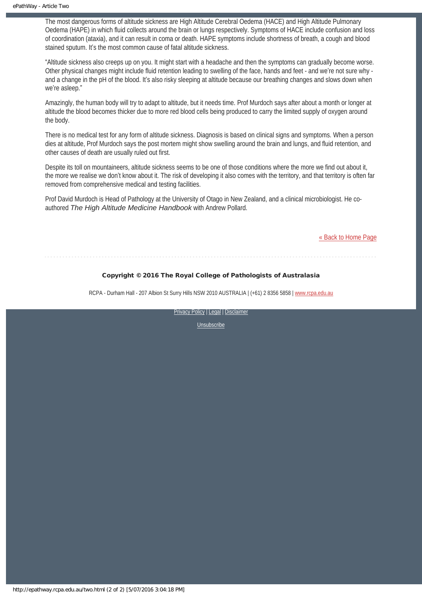The most dangerous forms of altitude sickness are High Altitude Cerebral Oedema (HACE) and High Altitude Pulmonary Oedema (HAPE) in which fluid collects around the brain or lungs respectively. Symptoms of HACE include confusion and loss of coordination (ataxia), and it can result in coma or death. HAPE symptoms include shortness of breath, a cough and blood stained sputum. It's the most common cause of fatal altitude sickness.

"Altitude sickness also creeps up on you. It might start with a headache and then the symptoms can gradually become worse. Other physical changes might include fluid retention leading to swelling of the face, hands and feet - and we're not sure why and a change in the pH of the blood. It's also risky sleeping at altitude because our breathing changes and slows down when we're asleep."

Amazingly, the human body will try to adapt to altitude, but it needs time. Prof Murdoch says after about a month or longer at altitude the blood becomes thicker due to more red blood cells being produced to carry the limited supply of oxygen around the body.

There is no medical test for any form of altitude sickness. Diagnosis is based on clinical signs and symptoms. When a person dies at altitude, Prof Murdoch says the post mortem might show swelling around the brain and lungs, and fluid retention, and other causes of death are usually ruled out first.

Despite its toll on mountaineers, altitude sickness seems to be one of those conditions where the more we find out about it, the more we realise we don't know about it. The risk of developing it also comes with the territory, and that territory is often far removed from comprehensive medical and testing facilities.

Prof David Murdoch is Head of Pathology at the University of Otago in New Zealand, and a clinical microbiologist. He coauthored *The High Altitude Medicine Handbook* with Andrew Pollard.

[« Back to Home Page](http://epathway.rcpa.edu.au/index.html)

## Copyright © 2016 The Royal College of Pathologists of Australasia

RCPA - Durham Hall - 207 Albion St Surry Hills NSW 2010 AUSTRALIA | (+61) 2 8356 5858 | [www.rcpa.edu.au](https://www.rcpa.edu.au/)

[Privacy Policy](https://www.rcpa.edu.au/Content-Library/Privacy.aspx) | [Legal](https://www.rcpa.edu.au/Legal.aspx) | Disclaimer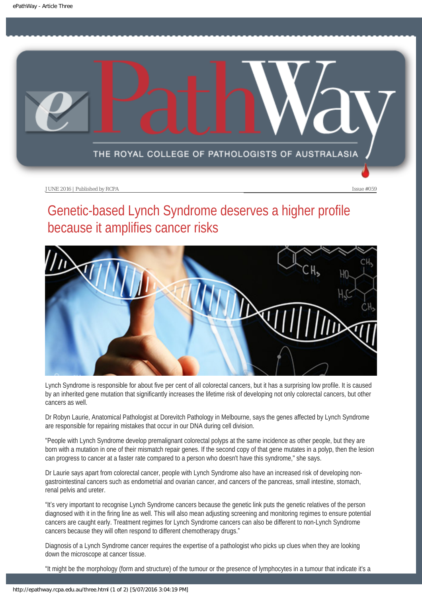<span id="page-12-0"></span>

# Genetic-based Lynch Syndrome deserves a higher profile because it amplifies cancer risks



Lynch Syndrome is responsible for about five per cent of all colorectal cancers, but it has a surprising low profile. It is caused by an inherited gene mutation that significantly increases the lifetime risk of developing not only colorectal cancers, but other cancers as well.

Dr Robyn Laurie, Anatomical Pathologist at Dorevitch Pathology in Melbourne, says the genes affected by Lynch Syndrome are responsible for repairing mistakes that occur in our DNA during cell division.

"People with Lynch Syndrome develop premalignant colorectal polyps at the same incidence as other people, but they are born with a mutation in one of their mismatch repair genes. If the second copy of that gene mutates in a polyp, then the lesion can progress to cancer at a faster rate compared to a person who doesn't have this syndrome," she says.

Dr Laurie says apart from colorectal cancer, people with Lynch Syndrome also have an increased risk of developing nongastrointestinal cancers such as endometrial and ovarian cancer, and cancers of the pancreas, small intestine, stomach, renal pelvis and ureter.

"It's very important to recognise Lynch Syndrome cancers because the genetic link puts the genetic relatives of the person diagnosed with it in the firing line as well. This will also mean adjusting screening and monitoring regimes to ensure potential cancers are caught early. Treatment regimes for Lynch Syndrome cancers can also be different to non-Lynch Syndrome cancers because they will often respond to different chemotherapy drugs."

Diagnosis of a Lynch Syndrome cancer requires the expertise of a pathologist who picks up clues when they are looking down the microscope at cancer tissue.

"It might be the morphology (form and structure) of the tumour or the presence of lymphocytes in a tumour that indicate it's a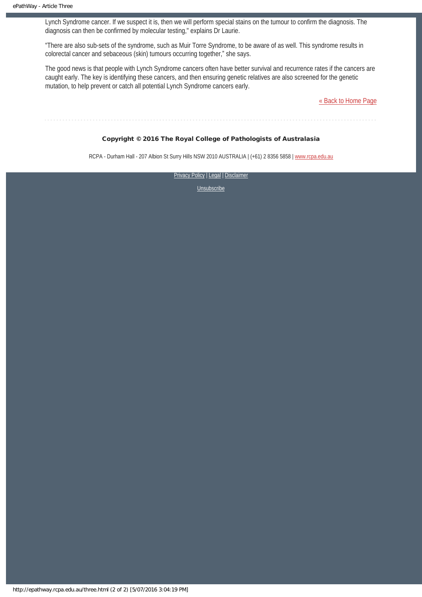Lynch Syndrome cancer. If we suspect it is, then we will perform special stains on the tumour to confirm the diagnosis. The diagnosis can then be confirmed by molecular testing," explains Dr Laurie.

"There are also sub-sets of the syndrome, such as Muir Torre Syndrome, to be aware of as well. This syndrome results in colorectal cancer and sebaceous (skin) tumours occurring together," she says.

The good news is that people with Lynch Syndrome cancers often have better survival and recurrence rates if the cancers are caught early. The key is identifying these cancers, and then ensuring genetic relatives are also screened for the genetic mutation, to help prevent or catch all potential Lynch Syndrome cancers early.

[« Back to Home Page](http://epathway.rcpa.edu.au/index.html)

#### Copyright © 2016 The Royal College of Pathologists of Australasia

RCPA - Durham Hall - 207 Albion St Surry Hills NSW 2010 AUSTRALIA | (+61) 2 8356 5858 | [www.rcpa.edu.au](https://www.rcpa.edu.au/)

[Privacy Policy](https://www.rcpa.edu.au/Content-Library/Privacy.aspx) | [Legal](https://www.rcpa.edu.au/Legal.aspx) | Disclaimer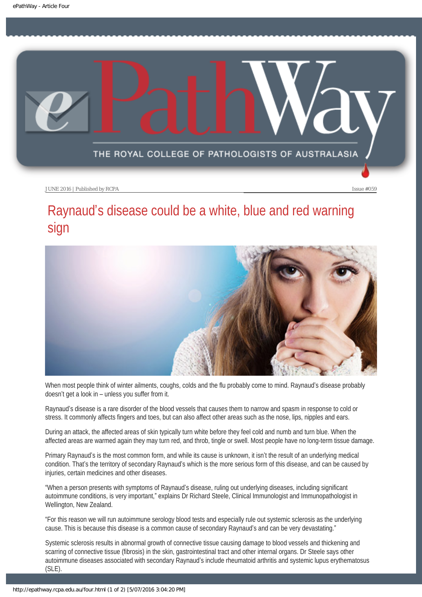<span id="page-14-0"></span>

# Raynaud's disease could be a white, blue and red warning sign



When most people think of winter ailments, coughs, colds and the flu probably come to mind. Raynaud's disease probably doesn't get a look in – unless you suffer from it.

Raynaud's disease is a rare disorder of the blood vessels that causes them to narrow and spasm in response to cold or stress. It commonly affects fingers and toes, but can also affect other areas such as the nose, lips, nipples and ears.

During an attack, the affected areas of skin typically turn white before they feel cold and numb and turn blue. When the affected areas are warmed again they may turn red, and throb, tingle or swell. Most people have no long-term tissue damage.

Primary Raynaud's is the most common form, and while its cause is unknown, it isn't the result of an underlying medical condition. That's the territory of secondary Raynaud's which is the more serious form of this disease, and can be caused by injuries, certain medicines and other diseases.

"When a person presents with symptoms of Raynaud's disease, ruling out underlying diseases, including significant autoimmune conditions, is very important," explains Dr Richard Steele, Clinical Immunologist and Immunopathologist in Wellington, New Zealand.

"For this reason we will run autoimmune serology blood tests and especially rule out systemic sclerosis as the underlying cause. This is because this disease is a common cause of secondary Raynaud's and can be very devastating."

Systemic sclerosis results in abnormal growth of connective tissue causing damage to blood vessels and thickening and scarring of connective tissue (fibrosis) in the skin, gastrointestinal tract and other internal organs. Dr Steele says other autoimmune diseases associated with secondary Raynaud's include rheumatoid arthritis and systemic lupus erythematosus (SLE).